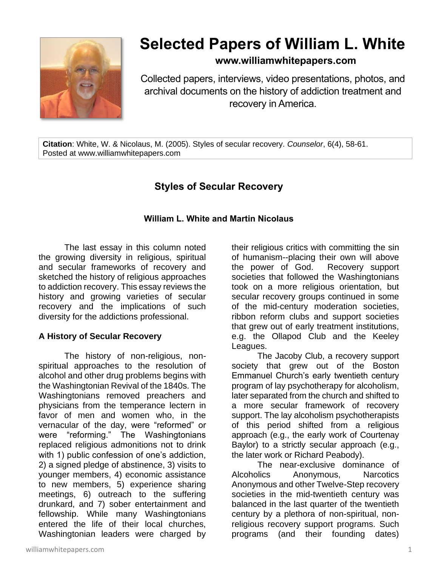

# **Selected Papers of William L. White**

### **www.williamwhitepapers.com**

Collected papers, interviews, video presentations, photos, and archival documents on the history of addiction treatment and recovery in America.

**Citation**: White, W. & Nicolaus, M. (2005). Styles of secular recovery. *Counselor*, 6(4), 58-61. Posted at www.williamwhitepapers.com

## **Styles of Secular Recovery**

#### **William L. White and Martin Nicolaus**

The last essay in this column noted the growing diversity in religious, spiritual and secular frameworks of recovery and sketched the history of religious approaches to addiction recovery. This essay reviews the history and growing varieties of secular recovery and the implications of such diversity for the addictions professional.

#### **A History of Secular Recovery**

The history of non-religious, nonspiritual approaches to the resolution of alcohol and other drug problems begins with the Washingtonian Revival of the 1840s. The Washingtonians removed preachers and physicians from the temperance lectern in favor of men and women who, in the vernacular of the day, were "reformed" or were "reforming." The Washingtonians replaced religious admonitions not to drink with 1) public confession of one's addiction, 2) a signed pledge of abstinence, 3) visits to younger members, 4) economic assistance to new members, 5) experience sharing meetings, 6) outreach to the suffering drunkard, and 7) sober entertainment and fellowship. While many Washingtonians entered the life of their local churches, Washingtonian leaders were charged by their religious critics with committing the sin of humanism--placing their own will above the power of God. Recovery support societies that followed the Washingtonians took on a more religious orientation, but secular recovery groups continued in some of the mid-century moderation societies, ribbon reform clubs and support societies that grew out of early treatment institutions, e.g. the Ollapod Club and the Keeley Leagues.

The Jacoby Club, a recovery support society that grew out of the Boston Emmanuel Church's early twentieth century program of lay psychotherapy for alcoholism, later separated from the church and shifted to a more secular framework of recovery support. The lay alcoholism psychotherapists of this period shifted from a religious approach (e.g., the early work of Courtenay Baylor) to a strictly secular approach (e.g., the later work or Richard Peabody).

The near-exclusive dominance of Alcoholics Anonymous, Narcotics Anonymous and other Twelve-Step recovery societies in the mid-twentieth century was balanced in the last quarter of the twentieth century by a plethora of non-spiritual, nonreligious recovery support programs. Such programs (and their founding dates)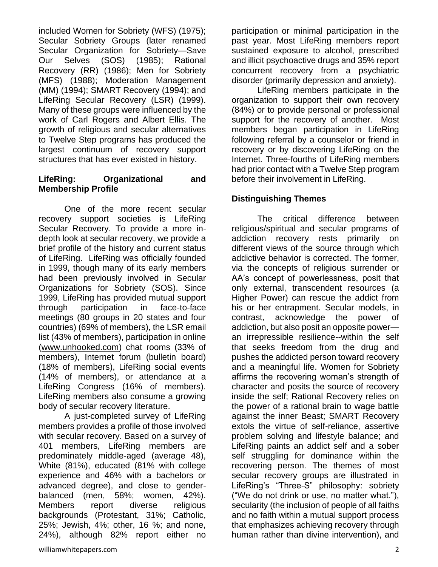included Women for Sobriety (WFS) (1975); Secular Sobriety Groups (later renamed Secular Organization for Sobriety—Save Our Selves (SOS) (1985); Rational Recovery (RR) (1986); Men for Sobriety (MFS) (1988); Moderation Management (MM) (1994); SMART Recovery (1994); and LifeRing Secular Recovery (LSR) (1999). Many of these groups were influenced by the work of Carl Rogers and Albert Ellis. The growth of religious and secular alternatives to Twelve Step programs has produced the largest continuum of recovery support structures that has ever existed in history.

#### **LifeRing: Organizational and Membership Profile**

One of the more recent secular recovery support societies is LifeRing Secular Recovery. To provide a more indepth look at secular recovery, we provide a brief profile of the history and current status of LifeRing. LifeRing was officially founded in 1999, though many of its early members had been previously involved in Secular Organizations for Sobriety (SOS). Since 1999, LifeRing has provided mutual support through participation in face-to-face meetings (80 groups in 20 states and four countries) (69% of members), the LSR email list (43% of members), participation in online [\(www.unhooked.com\)](http://www.unhooked.com/) chat rooms (33% of members), Internet forum (bulletin board) (18% of members), LifeRing social events (14% of members), or attendance at a LifeRing Congress (16% of members). LifeRing members also consume a growing body of secular recovery literature.

A just-completed survey of LifeRing members provides a profile of those involved with secular recovery. Based on a survey of 401 members, LifeRing members are predominately middle-aged (average 48), White (81%), educated (81% with college experience and 46% with a bachelors or advanced degree), and close to genderbalanced (men, 58%; women, 42%). Members report diverse religious backgrounds (Protestant, 31%; Catholic, 25%; Jewish, 4%; other, 16 %; and none, 24%), although 82% report either no

LifeRing members participate in the organization to support their own recovery (84%) or to provide personal or professional support for the recovery of another. Most members began participation in LifeRing following referral by a counselor or friend in recovery or by discovering LifeRing on the Internet. Three-fourths of LifeRing members had prior contact with a Twelve Step program before their involvement in LifeRing.

#### **Distinguishing Themes**

The critical difference between religious/spiritual and secular programs of addiction recovery rests primarily on different views of the source through which addictive behavior is corrected. The former, via the concepts of religious surrender or AA's concept of powerlessness, posit that only external, transcendent resources (a Higher Power) can rescue the addict from his or her entrapment. Secular models, in contrast, acknowledge the power of addiction, but also posit an opposite power an irrepressible resilience--within the self that seeks freedom from the drug and pushes the addicted person toward recovery and a meaningful life. Women for Sobriety affirms the recovering woman's strength of character and posits the source of recovery inside the self; Rational Recovery relies on the power of a rational brain to wage battle against the inner Beast; SMART Recovery extols the virtue of self-reliance, assertive problem solving and lifestyle balance; and LifeRing paints an addict self and a sober self struggling for dominance within the recovering person. The themes of most secular recovery groups are illustrated in LifeRing's "Three-S" philosophy: sobriety ("We do not drink or use, no matter what."), secularity (the inclusion of people of all faiths and no faith within a mutual support process that emphasizes achieving recovery through human rather than divine intervention), and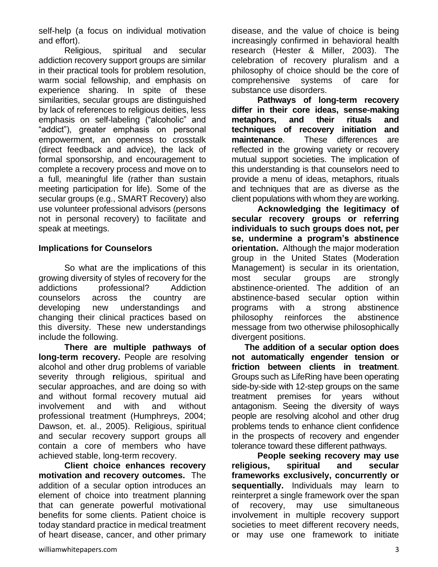self-help (a focus on individual motivation and effort).

Religious, spiritual and secular addiction recovery support groups are similar in their practical tools for problem resolution, warm social fellowship, and emphasis on experience sharing. In spite of these similarities, secular groups are distinguished by lack of references to religious deities, less emphasis on self-labeling ("alcoholic" and "addict"), greater emphasis on personal empowerment, an openness to crosstalk (direct feedback and advice), the lack of formal sponsorship, and encouragement to complete a recovery process and move on to a full, meaningful life (rather than sustain meeting participation for life). Some of the secular groups (e.g., SMART Recovery) also use volunteer professional advisors (persons not in personal recovery) to facilitate and speak at meetings.

#### **Implications for Counselors**

So what are the implications of this growing diversity of styles of recovery for the addictions professional? Addiction counselors across the country are developing new understandings and changing their clinical practices based on this diversity. These new understandings include the following.

**There are multiple pathways of long-term recovery.** People are resolving alcohol and other drug problems of variable severity through **r**eligious, spiritual and secular approaches, and are doing so with and without formal recovery mutual aid involvement and with and without professional treatment (Humphreys, 2004; Dawson, et. al., 2005). Religious, spiritual and secular recovery support groups all contain a core of members who have achieved stable, long-term recovery.

**Client choice enhances recovery motivation and recovery outcomes.** The addition of a secular option introduces an element of choice into treatment planning that can generate powerful motivational benefits for some clients. Patient choice is today standard practice in medical treatment of heart disease, cancer, and other primary disease, and the value of choice is being increasingly confirmed in behavioral health research (Hester & Miller, 2003). The celebration of recovery pluralism and a philosophy of choice should be the core of comprehensive systems of care for substance use disorders.

**Pathways of long-term recovery differ in their core ideas, sense-making metaphors, and their rituals and techniques of recovery initiation and maintenance**. These differences are reflected in the growing variety or recovery mutual support societies. The implication of this understanding is that counselors need to provide a menu of ideas, metaphors, rituals and techniques that are as diverse as the client populations with whom they are working.

**Acknowledging the legitimacy of secular recovery groups or referring individuals to such groups does not, per se, undermine a program's abstinence orientation.** Although the major moderation group in the United States (Moderation Management) is secular in its orientation, most secular groups are strongly abstinence-oriented. The addition of an abstinence-based secular option within programs with a strong abstinence philosophy reinforces the abstinence message from two otherwise philosophically divergent positions.

**The addition of a secular option does not automatically engender tension or friction between clients in treatment**. Groups such as LifeRing have been operating side-by-side with 12-step groups on the same treatment premises for years without antagonism. Seeing the diversity of ways people are resolving alcohol and other drug problems tends to enhance client confidence in the prospects of recovery and engender tolerance toward these different pathways.

**People seeking recovery may use religious, spiritual and secular frameworks exclusively, concurrently or sequentially.** Individuals may learn to reinterpret a single framework over the span of recovery, may use simultaneous involvement in multiple recovery support societies to meet different recovery needs, or may use one framework to initiate